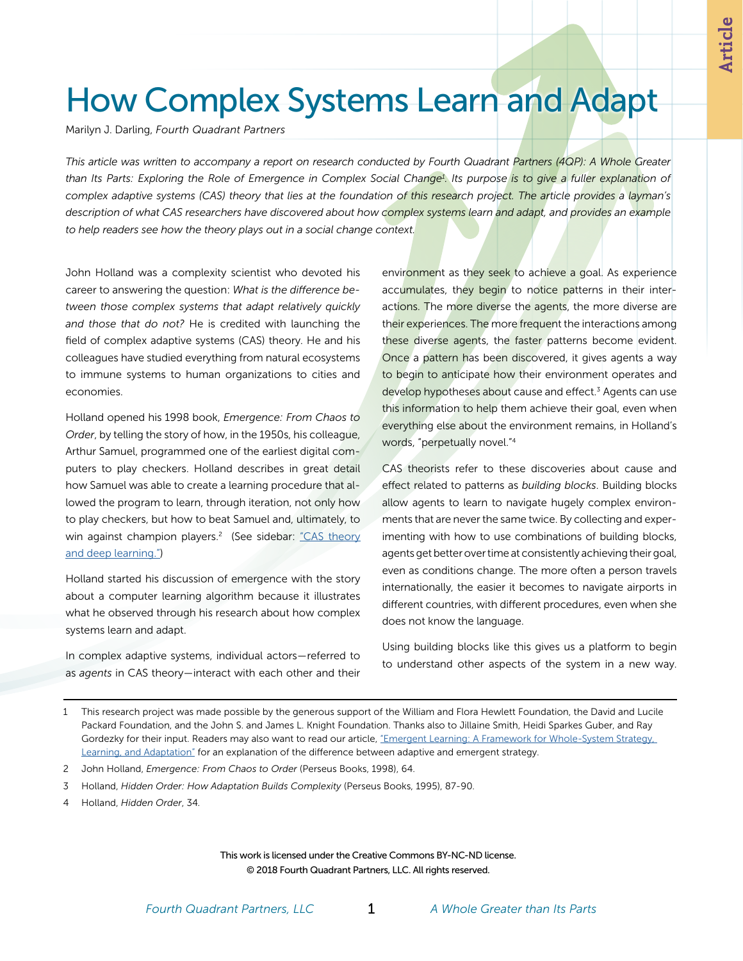# How Complex Systems Learn and Adapt

Marilyn J. Darling, *Fourth Quadrant Partners*

*This article was written to accompany a report on research conducted by Fourth Quadrant Partners (4QP): A Whole Greater than Its Parts: Exploring the Role of Emergence in Complex Social Change1 . Its purpose is to give a fuller explanation of complex adaptive systems (CAS) theory that lies at the foundation of this research project. The article provides a layman's description of what CAS researchers have discovered about how complex systems learn and adapt, and provides an example to help readers see how the theory plays out in a social change context.*

John Holland was a complexity scientist who devoted his career to answering the question: *What is the difference between those complex systems that adapt relatively quickly and those that do not?* He is credited with launching the field of complex adaptive systems (CAS) theory. He and his colleagues have studied everything from natural ecosystems to immune systems to human organizations to cities and economies.

Holland opened his 1998 book, *Emergence: From Chaos to Order*, by telling the story of how, in the 1950s, his colleague, Arthur Samuel, programmed one of the earliest digital computers to play checkers. Holland describes in great detail how Samuel was able to create a learning procedure that allowed the program to learn, through iteration, not only how to play checkers, but how to beat Samuel and, ultimately, to win against champion players.<sup>2</sup> (See sidebar: ["CAS theory](#page-1-0) [and deep learning."\)](#page-1-0)

Holland started his discussion of emergence with the story about a computer learning algorithm because it illustrates what he observed through his research about how complex systems learn and adapt.

In complex adaptive systems, individual actors—referred to as *agents* in CAS theory—interact with each other and their environment as they seek to achieve a goal. As experience accumulates, they begin to notice patterns in their interactions. The more diverse the agents, the more diverse are their experiences. The more frequent the interactions among these diverse agents, the faster patterns become evident. Once a pattern has been discovered, it gives agents a way to begin to anticipate how their environment operates and develop hypotheses about cause and effect.<sup>3</sup> Agents can use this information to help them achieve their goal, even when everything else about the environment remains, in Holland's words, "perpetually novel."4

CAS theorists refer to these discoveries about cause and effect related to patterns as *building blocks*. Building blocks allow agents to learn to navigate hugely complex environments that are never the same twice. By collecting and experimenting with how to use combinations of building blocks, agents get better over time at consistently achieving their goal, even as conditions change. The more often a person travels internationally, the easier it becomes to navigate airports in different countries, with different procedures, even when she does not know the language.

Using building blocks like this gives us a platform to begin to understand other aspects of the system in a new way.

- 2 John Holland, *Emergence: From Chaos to Order* (Perseus Books, 1998), 64.
- 3 Holland, *Hidden Order: How Adaptation Builds Complexity* (Perseus Books, 1995), 87-90.
- 4 Holland, *Hidden Order*, 34.

This work is licensed under the Creative Commons BY-NC-ND license. © 2018 Fourth Quadrant Partners, LLC. All rights reserved.

<sup>1</sup> This research project was made possible by the generous support of the William and Flora Hewlett Foundation, the David and Lucile Packard Foundation, and the John S. and James L. Knight Foundation. Thanks also to Jillaine Smith, Heidi Sparkes Guber, and Ray Gordezky for their input. Readers may also want to read our article, "Emergent Learning: A Framework for Whole-System Strategy, [Learning, and Adaptation"](https://scholarworks.gvsu.edu/tfr/vol8/iss1/8/) for an explanation of the difference between adaptive and emergent strategy.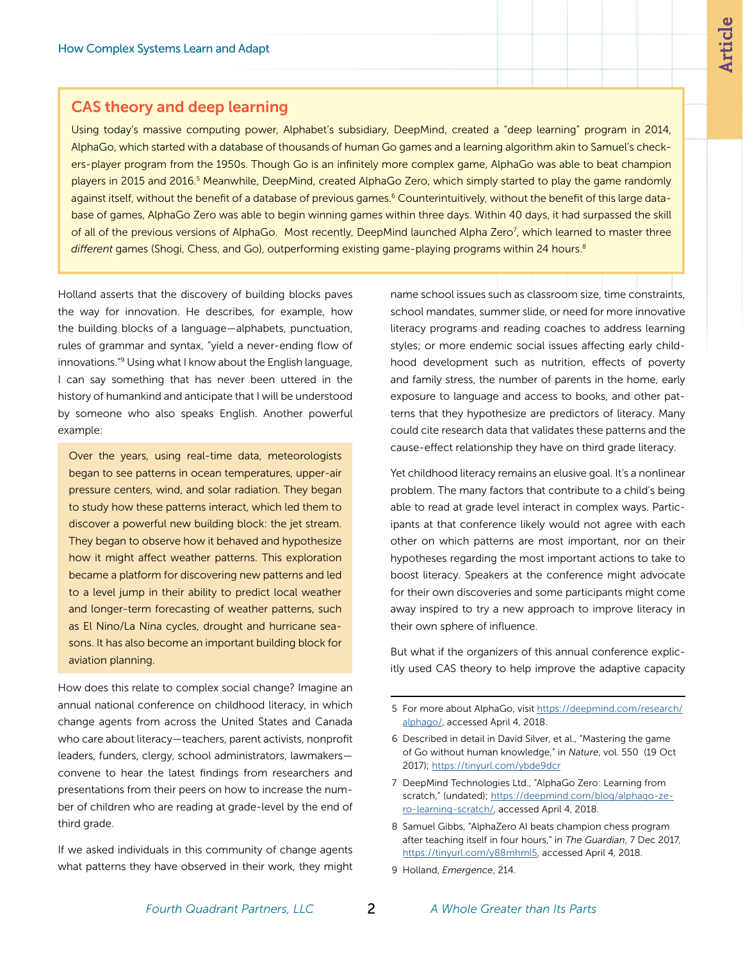#### <span id="page-1-0"></span>CAS theory and deep learning

Using today's massive computing power, Alphabet's subsidiary, DeepMind, created a "deep learning" program in 2014, AlphaGo, which started with a database of thousands of human Go games and a learning algorithm akin to Samuel's checkers-player program from the 1950s. Though Go is an infinitely more complex game, AlphaGo was able to beat champion players in 2015 and 2016.<sup>5</sup> Meanwhile, DeepMind, created AlphaGo Zero, which simply started to play the game randomly against itself, without the benefit of a database of previous games.<sup>6</sup> Counterintuitively, without the benefit of this large database of games, AlphaGo Zero was able to begin winning games within three days. Within 40 days, it had surpassed the skill of all of the previous versions of AlphaGo. Most recently, DeepMind launched Alpha Zero<sup>7</sup>, which learned to master three *different* games (Shogi, Chess, and Go), outperforming existing game-playing programs within 24 hours.8

Holland asserts that the discovery of building blocks paves the way for innovation. He describes, for example, how the building blocks of a language—alphabets, punctuation, rules of grammar and syntax, "yield a never-ending flow of innovations."9 Using what I know about the English language, I can say something that has never been uttered in the history of humankind and anticipate that I will be understood by someone who also speaks English. Another powerful example:

Over the years, using real-time data, meteorologists began to see patterns in ocean temperatures, upper-air pressure centers, wind, and solar radiation. They began to study how these patterns interact, which led them to discover a powerful new building block: the jet stream. They began to observe how it behaved and hypothesize how it might affect weather patterns. This exploration became a platform for discovering new patterns and led to a level jump in their ability to predict local weather and longer-term forecasting of weather patterns, such as El Nino/La Nina cycles, drought and hurricane seasons. It has also become an important building block for aviation planning.

How does this relate to complex social change? Imagine an annual national conference on childhood literacy, in which change agents from across the United States and Canada who care about literacy—teachers, parent activists, nonprofit leaders, funders, clergy, school administrators, lawmakers convene to hear the latest findings from researchers and presentations from their peers on how to increase the number of children who are reading at grade-level by the end of third grade.

If we asked individuals in this community of change agents what patterns they have observed in their work, they might

name school issues such as classroom size, time constraints, school mandates, summer slide, or need for more innovative literacy programs and reading coaches to address learning styles; or more endemic social issues affecting early childhood development such as nutrition, effects of poverty and family stress, the number of parents in the home, early exposure to language and access to books, and other patterns that they hypothesize are predictors of literacy. Many could cite research data that validates these patterns and the cause-effect relationship they have on third grade literacy.

Yet childhood literacy remains an elusive goal. It's a nonlinear problem. The many factors that contribute to a child's being able to read at grade level interact in complex ways. Participants at that conference likely would not agree with each other on which patterns are most important, nor on their hypotheses regarding the most important actions to take to boost literacy. Speakers at the conference might advocate for their own discoveries and some participants might come away inspired to try a new approach to improve literacy in their own sphere of influence.

But what if the organizers of this annual conference explicitly used CAS theory to help improve the adaptive capacity

5 For more about AlphaGo, visit [https://deepmind.com/research/](https://deepmind.com/research/alphago/) [alphago/](https://deepmind.com/research/alphago/), accessed April 4, 2018.

- 7 DeepMind Technologies Ltd., "AlphaGo Zero: Learning from scratch," (undated); [https://deepmind.com/blog/alphago-ze](https://deepmind.com/blog/alphago-zero-learning-scratch/)[ro-learning-scratch/,](https://deepmind.com/blog/alphago-zero-learning-scratch/) accessed April 4, 2018.
- 8 Samuel Gibbs, "AlphaZero AI beats champion chess program after teaching itself in four hours," in *The Guardian*, 7 Dec 2017, [https://tinyurl.com/y88mhml5,](https://tinyurl.com/y88mhml5) accessed April 4, 2018.
- 9 Holland, *Emergence*, 214.

<sup>6</sup> Described in detail in David Silver, et al., "Mastering the game of Go without human knowledge," in *Nature*, vol. 550 (19 Oct 2017);<https://tinyurl.com/ybde9dcr>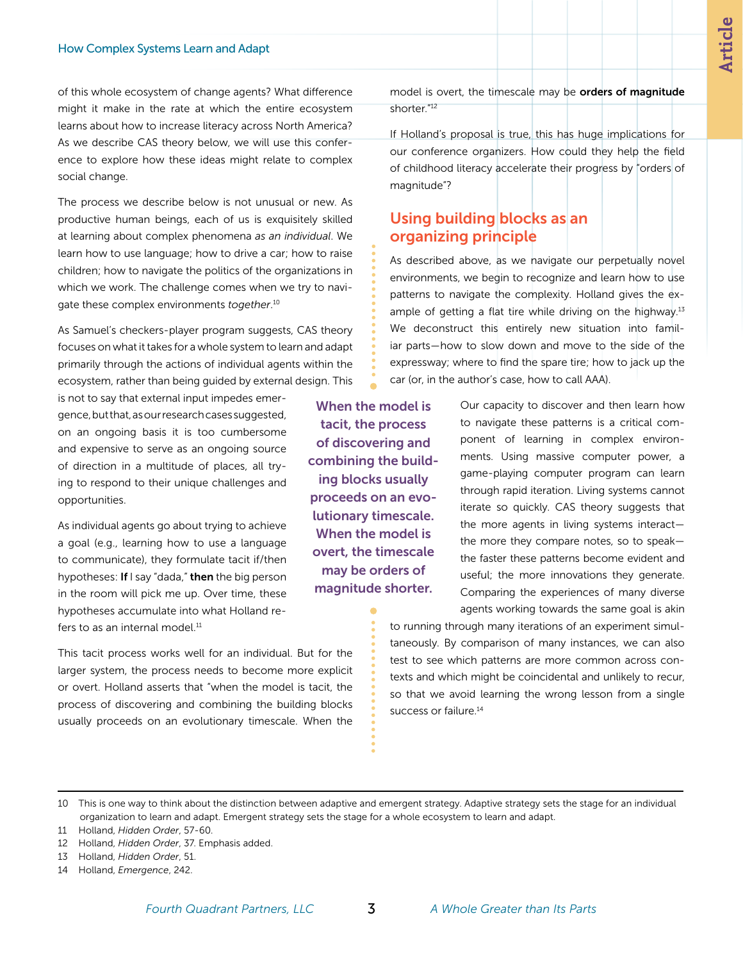**Article**

of this whole ecosystem of change agents? What difference might it make in the rate at which the entire ecosystem learns about how to increase literacy across North America? As we describe CAS theory below, we will use this conference to explore how these ideas might relate to complex social change.

The process we describe below is not unusual or new. As productive human beings, each of us is exquisitely skilled at learning about complex phenomena *as an individual*. We learn how to use language; how to drive a car; how to raise children; how to navigate the politics of the organizations in which we work. The challenge comes when we try to navigate these complex environments *together*. 10

As Samuel's checkers-player program suggests, CAS theory focuses on what it takes for a whole system to learn and adapt primarily through the actions of individual agents within the ecosystem, rather than being guided by external design. This

is not to say that external input impedes emergence, but that, as our research cases suggested, on an ongoing basis it is too cumbersome and expensive to serve as an ongoing source of direction in a multitude of places, all trying to respond to their unique challenges and opportunities.

As individual agents go about trying to achieve a goal (e.g., learning how to use a language to communicate), they formulate tacit if/then hypotheses: If I say "dada," then the big person in the room will pick me up. Over time, these hypotheses accumulate into what Holland refers to as an internal model.<sup>11</sup>

This tacit process works well for an individual. But for the larger system, the process needs to become more explicit or overt. Holland asserts that "when the model is tacit, the process of discovering and combining the building blocks usually proceeds on an evolutionary timescale. When the model is overt, the timescale may be orders of magnitude shorter."12

If Holland's proposal is true, this has huge implications for our conference organizers. How could they help the field of childhood literacy accelerate their progress by "orders of magnitude"?

## Using building blocks as an organizing principle

As described above, as we navigate our perpetually novel environments, we begin to recognize and learn how to use patterns to navigate the complexity. Holland gives the example of getting a flat tire while driving on the highway. $13$ We deconstruct this entirely new situation into familiar parts—how to slow down and move to the side of the expressway; where to find the spare tire; how to jack up the car (or, in the author's case, how to call AAA).

When the model is tacit, the process of discovering and combining the building blocks usually proceeds on an evolutionary timescale. When the model is overt, the timescale may be orders of magnitude shorter.

Our capacity to discover and then learn how to navigate these patterns is a critical component of learning in complex environments. Using massive computer power, a game-playing computer program can learn through rapid iteration. Living systems cannot iterate so quickly. CAS theory suggests that the more agents in living systems interact the more they compare notes, so to speak the faster these patterns become evident and useful; the more innovations they generate. Comparing the experiences of many diverse agents working towards the same goal is akin

to running through many iterations of an experiment simultaneously. By comparison of many instances, we can also test to see which patterns are more common across contexts and which might be coincidental and unlikely to recur, so that we avoid learning the wrong lesson from a single success or failure.<sup>14</sup>

11 Holland, *Hidden Order*, 57-60.

- 13 Holland, *Hidden Order*, 51.
- 14 Holland, *Emergence*, 242.

<sup>10</sup> This is one way to think about the distinction between adaptive and emergent strategy. Adaptive strategy sets the stage for an individual organization to learn and adapt. Emergent strategy sets the stage for a whole ecosystem to learn and adapt.

<sup>12</sup> Holland, *Hidden Order*, 37. Emphasis added.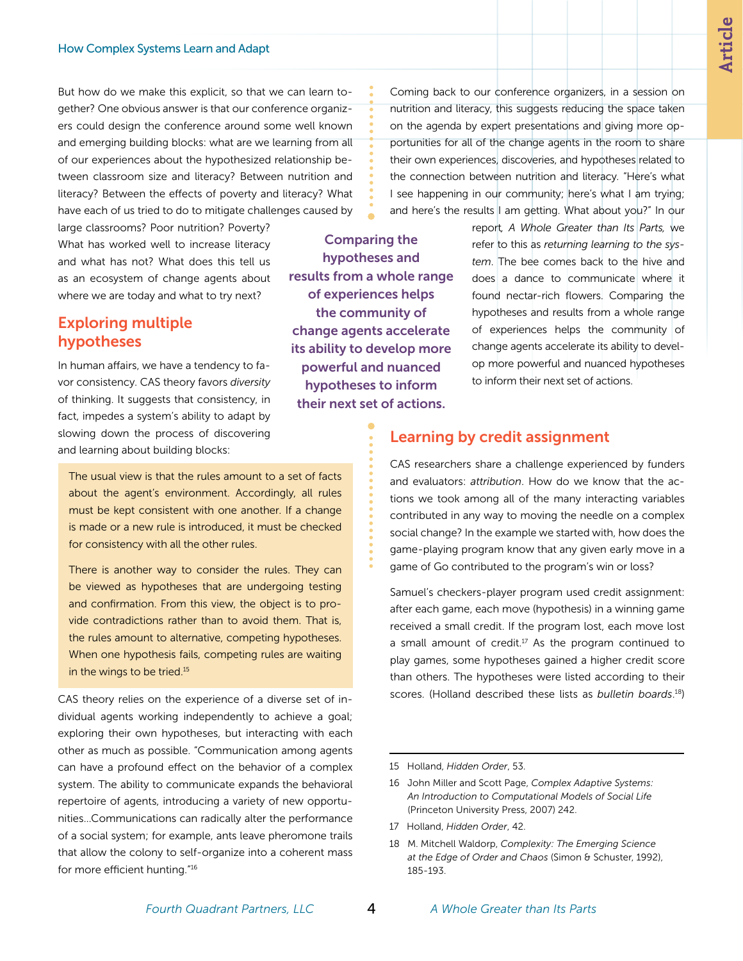But how do we make this explicit, so that we can learn together? One obvious answer is that our conference organizers could design the conference around some well known and emerging building blocks: what are we learning from all of our experiences about the hypothesized relationship between classroom size and literacy? Between nutrition and literacy? Between the effects of poverty and literacy? What have each of us tried to do to mitigate challenges caused by

large classrooms? Poor nutrition? Poverty? What has worked well to increase literacy and what has not? What does this tell us as an ecosystem of change agents about where we are today and what to try next?

### Exploring multiple hypotheses

In human affairs, we have a tendency to favor consistency. CAS theory favors *diversity* of thinking. It suggests that consistency, in fact, impedes a system's ability to adapt by slowing down the process of discovering and learning about building blocks:

The usual view is that the rules amount to a set of facts about the agent's environment. Accordingly, all rules must be kept consistent with one another. If a change is made or a new rule is introduced, it must be checked for consistency with all the other rules.

There is another way to consider the rules. They can be viewed as hypotheses that are undergoing testing and confirmation. From this view, the object is to provide contradictions rather than to avoid them. That is, the rules amount to alternative, competing hypotheses. When one hypothesis fails, competing rules are waiting in the wings to be tried.<sup>15</sup>

CAS theory relies on the experience of a diverse set of individual agents working independently to achieve a goal; exploring their own hypotheses, but interacting with each other as much as possible. "Communication among agents can have a profound effect on the behavior of a complex system. The ability to communicate expands the behavioral repertoire of agents, introducing a variety of new opportunities...Communications can radically alter the performance of a social system; for example, ants leave pheromone trails that allow the colony to self-organize into a coherent mass for more efficient hunting."16

on the agenda by expert presentations and giving more opportunities for all of the change agents in the room to share their own experiences, discoveries, and hypotheses related to the connection between nutrition and literacy. "Here's what I see happening in our community; here's what I am trying; and here's the results I am getting. What about you?" In our report*, A Whole Greater than Its Parts,* we Comparing the hypotheses and

Coming back to our conference organizers, in a session on nutrition and literacy, this suggests reducing the space taken

> refer to this as *returning learning to the system*. The bee comes back to the hive and does a dance to communicate where it found nectar-rich flowers. Comparing the hypotheses and results from a whole range of experiences helps the community of change agents accelerate its ability to develop more powerful and nuanced hypotheses to inform their next set of actions.

#### Learning by credit assignment

CAS researchers share a challenge experienced by funders and evaluators: *attribution*. How do we know that the actions we took among all of the many interacting variables contributed in any way to moving the needle on a complex social change? In the example we started with, how does the game-playing program know that any given early move in a game of Go contributed to the program's win or loss?

Samuel's checkers-player program used credit assignment: after each game, each move (hypothesis) in a winning game received a small credit. If the program lost, each move lost a small amount of credit. $17$  As the program continued to play games, some hypotheses gained a higher credit score than others. The hypotheses were listed according to their scores. (Holland described these lists as *bulletin boards*. 18)

17 Holland, *Hidden Order*, 42.

results from a whole range of experiences helps the community of change agents accelerate its ability to develop more powerful and nuanced hypotheses to inform their next set of actions.

<sup>15</sup> Holland, *Hidden Order*, 53.

<sup>16</sup> John Miller and Scott Page, *Complex Adaptive Systems: An Introduction to Computational Models of Social Life* (Princeton University Press, 2007) 242.

<sup>18</sup> M. Mitchell Waldorp, *Complexity: The Emerging Science at the Edge of Order and Chaos* (Simon & Schuster, 1992), 185-193.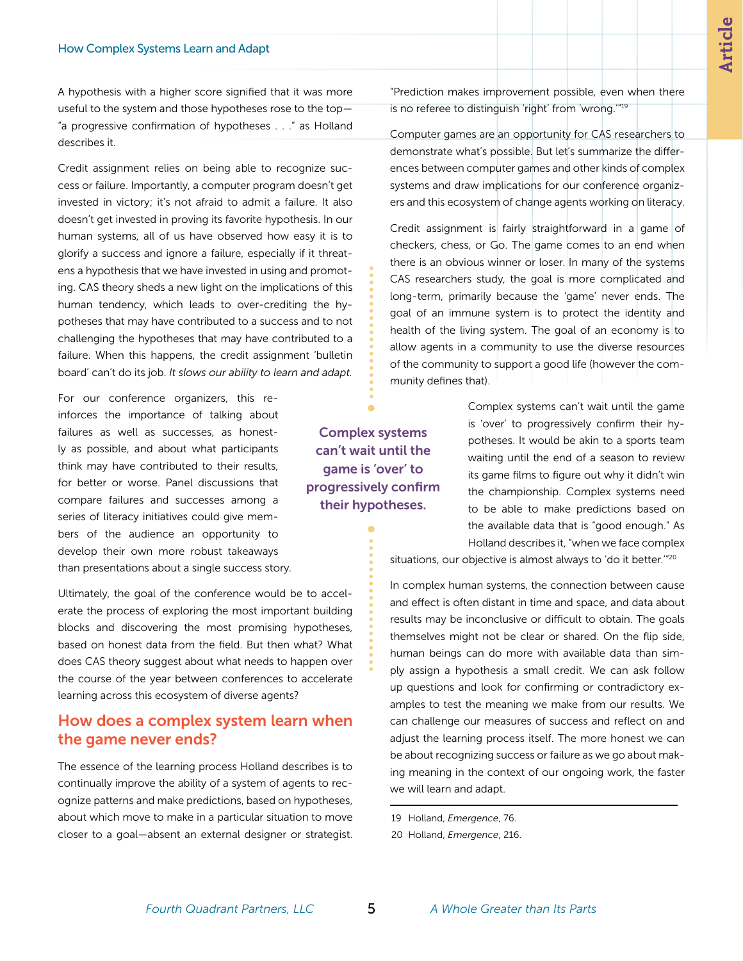A hypothesis with a higher score signified that it was more useful to the system and those hypotheses rose to the top— "a progressive confirmation of hypotheses . . ." as Holland describes it.

Credit assignment relies on being able to recognize success or failure. Importantly, a computer program doesn't get invested in victory; it's not afraid to admit a failure. It also doesn't get invested in proving its favorite hypothesis. In our human systems, all of us have observed how easy it is to glorify a success and ignore a failure, especially if it threatens a hypothesis that we have invested in using and promoting. CAS theory sheds a new light on the implications of this human tendency, which leads to over-crediting the hypotheses that may have contributed to a success and to not challenging the hypotheses that may have contributed to a failure. When this happens, the credit assignment 'bulletin board' can't do its job. *It slows our ability to learn and adapt.*

For our conference organizers, this reinforces the importance of talking about failures as well as successes, as honestly as possible, and about what participants think may have contributed to their results, for better or worse. Panel discussions that compare failures and successes among a series of literacy initiatives could give members of the audience an opportunity to develop their own more robust takeaways than presentations about a single success story.

Ultimately, the goal of the conference would be to accelerate the process of exploring the most important building blocks and discovering the most promising hypotheses, based on honest data from the field. But then what? What does CAS theory suggest about what needs to happen over the course of the year between conferences to accelerate learning across this ecosystem of diverse agents?

### How does a complex system learn when the game never ends?

The essence of the learning process Holland describes is to continually improve the ability of a system of agents to recognize patterns and make predictions, based on hypotheses, about which move to make in a particular situation to move closer to a goal—absent an external designer or strategist. "Prediction makes improvement possible, even when there is no referee to distinguish 'right' from 'wrong.'"19

Computer games are an opportunity for CAS researchers to demonstrate what's possible. But let's summarize the differences between computer games and other kinds of complex systems and draw implications for our conference organizers and this ecosystem of change agents working on literacy.

Credit assignment is fairly straightforward in a game of checkers, chess, or Go. The game comes to an end when there is an obvious winner or loser. In many of the systems CAS researchers study, the goal is more complicated and long-term, primarily because the 'game' never ends. The goal of an immune system is to protect the identity and health of the living system. The goal of an economy is to allow agents in a community to use the diverse resources of the community to support a good life (however the community defines that).

> Complex systems can't wait until the game is 'over' to progressively confirm their hypotheses. It would be akin to a sports team waiting until the end of a season to review its game films to figure out why it didn't win the championship. Complex systems need to be able to make predictions based on the available data that is "good enough." As Holland describes it, "when we face complex

situations, our objective is almost always to 'do it better."<sup>20</sup>

In complex human systems, the connection between cause and effect is often distant in time and space, and data about results may be inconclusive or difficult to obtain. The goals themselves might not be clear or shared. On the flip side, human beings can do more with available data than simply assign a hypothesis a small credit. We can ask follow up questions and look for confirming or contradictory examples to test the meaning we make from our results. We can challenge our measures of success and reflect on and adjust the learning process itself. The more honest we can be about recognizing success or failure as we go about making meaning in the context of our ongoing work, the faster we will learn and adapt.

19 Holland, *Emergence*, 76.

Complex systems can't wait until the game is 'over' to progressively confirm their hypotheses.

<sup>20</sup> Holland, *Emergence*, 216.